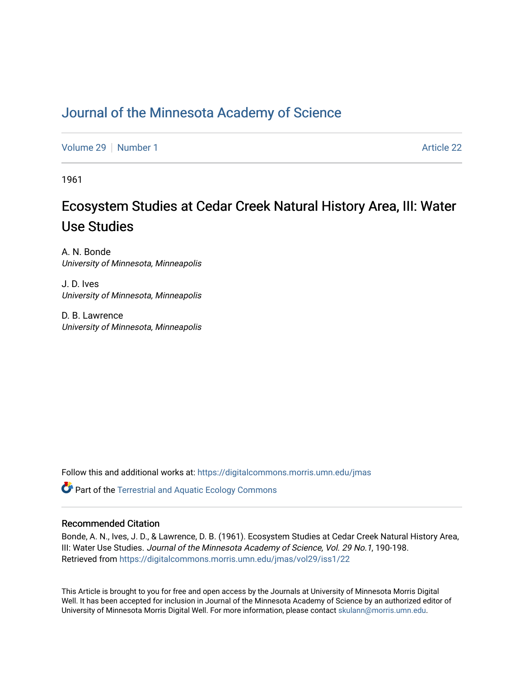# [Journal of the Minnesota Academy of Science](https://digitalcommons.morris.umn.edu/jmas)

[Volume 29](https://digitalcommons.morris.umn.edu/jmas/vol29) [Number 1](https://digitalcommons.morris.umn.edu/jmas/vol29/iss1) Article 22

1961

# Ecosystem Studies at Cedar Creek Natural History Area, III: Water Use Studies

A. N. Bonde University of Minnesota, Minneapolis

J. D. Ives University of Minnesota, Minneapolis

D. B. Lawrence University of Minnesota, Minneapolis

Follow this and additional works at: [https://digitalcommons.morris.umn.edu/jmas](https://digitalcommons.morris.umn.edu/jmas?utm_source=digitalcommons.morris.umn.edu%2Fjmas%2Fvol29%2Fiss1%2F22&utm_medium=PDF&utm_campaign=PDFCoverPages) 

**C** Part of the Terrestrial and Aquatic Ecology Commons

## Recommended Citation

Bonde, A. N., Ives, J. D., & Lawrence, D. B. (1961). Ecosystem Studies at Cedar Creek Natural History Area, III: Water Use Studies. Journal of the Minnesota Academy of Science, Vol. 29 No.1, 190-198. Retrieved from [https://digitalcommons.morris.umn.edu/jmas/vol29/iss1/22](https://digitalcommons.morris.umn.edu/jmas/vol29/iss1/22?utm_source=digitalcommons.morris.umn.edu%2Fjmas%2Fvol29%2Fiss1%2F22&utm_medium=PDF&utm_campaign=PDFCoverPages) 

This Article is brought to you for free and open access by the Journals at University of Minnesota Morris Digital Well. It has been accepted for inclusion in Journal of the Minnesota Academy of Science by an authorized editor of University of Minnesota Morris Digital Well. For more information, please contact [skulann@morris.umn.edu](mailto:skulann@morris.umn.edu).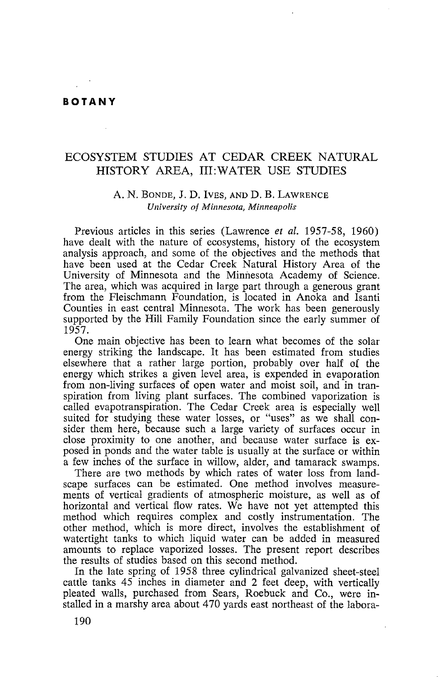#### **BOTANY**

### ECOSYSTEM STUDIES AT CEDAR CREEK NATURAL HISTORY AREA, III:WATER USE STUDIES

#### A. N. BONDE, J. D. IVES, AND D. B. LAWRENCE *University of Minnesota, Minneapolis*

Previous articles in this series (Lawrence *et al.* 1957-58, 1960) have dealt with the nature of ecosystems, history of the ecosystem analysis approach, and some of the objectives and the methods that have been used at the Cedar Creek Natural History Area of the University of Minnesota and the Minnesota Academy of Science. The area, which was acquired in large part through a generous grant from the Fleischmann Foundation, is located in Anoka and Isanti Counties in east central Minnesota. The work has been generously supported by the Hill Family Foundation since the early summer of 1957.

One main objective has been to learn what becomes of the solar energy striking the landscape. It has been estimated from studies elsewhere that a rather large portion, probably over half of the energy which strikes a given level area, is expended in evaporation from non-living surfaces of open water and moist soil, and in transpiration from living plant surfaces. The combined vaporization is called evapotranspiration. The Cedar Creek area is especially well suited for studying these water losses, or "uses" as we shall consider them here, because such a large variety of surfaces occur in close proximity to one another, and because water surface is exposed in ponds and the water table is usually at the surface or within a few inches of the surface in willow, alder, and tamarack swamps.

There are two methods by which rates of water loss from landscape surfaces can be estimated. One method involves measurements of vertical gradients of atmospheric moisture, as well as of horizontal and vertical flow rates. We have not yet attempted this method which requires complex and costly instrumentation. The other method, which is more direct, involves the establishment of watertight tanks to which liquid water can be added in measured amounts to replace vaporized losses. The present report describes the results of studies based on this second method.

In the late spring of 1958 three cylindrical galvanized sheet-steel cattle tanks 45 inches in diameter and 2 feet deep, with vertically pleated walls, purchased from Sears, Roebuck and Co., were installed in a marshy area about 470 yards east northeast of the labora-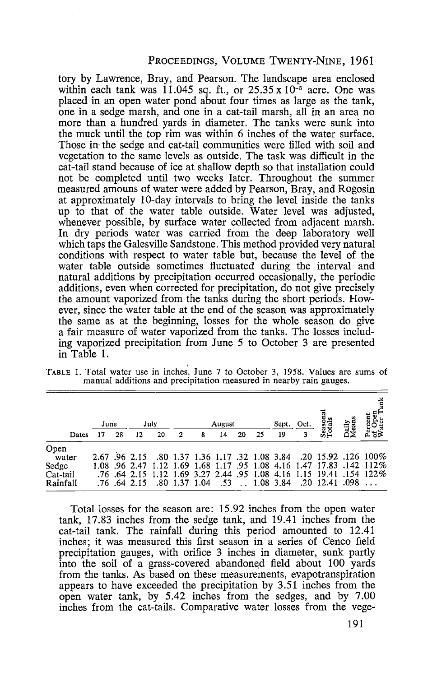#### PROCEEDINGS, VOLUME TWENTY-NINE, 1961

tory by Lawrence, Bray, and Pearson. The landscape area enclosed within each tank was 11.045 sq. ft., or  $25.35 \times 10^{-5}$  acre. One was placed in an open water pond about four times as large as the tank, one in a sedge marsh, and one in a cat-tail marsh, all in an area no more than a hundred yards in diameter. The tanks were sunk into the muck until the top rim was within 6 inches of the water surface. Those in the sedge and cat-tail communities were filled with soil and vegetation to the same levels as outside. The task was difficult in the cat-tail stand because of ice at shallow depth so that installation could not be completed until two weeks later. Throughout the summer measured amouns of water were added by Pearson, Bray, and Rogosin at approximately 10-day intervals to bring the level inside the tanks up to that of the water table outside. Water level was adjusted, whenever possible, by surface water collected from adjacent marsh. In dry periods water was carried from the deep laboratory well which taps the Galesville Sandstone. This method provided very natural conditions with respect to water table but, because the level of the water table outside sometimes fluctuated during the interval and natural additions by precipitation occurred occasionally, the periodic additions, even when corrected for precipitation, do not give precisely the amount vaporized from the tanks during the short periods. However, since the water table at the end of the season was approximately the same as at the beginning, losses for the whole season do give a fair measure of water vaporized from the tanks. The losses including vaporized precipitation from June 5 to October 3 are presented in Table 1.

| TABLE 1. Total water use in inches, June 7 to October 3, 1958. Values are sums of<br>manual additions and precipitation measured in nearby rain gauges. |  |
|---------------------------------------------------------------------------------------------------------------------------------------------------------|--|
|                                                                                                                                                         |  |

|                               | June |    |               | July |   |               | August |    |     | Sept. | Oct. | ਰ                          | Daily<br>Mean |                                                                                                                                             |
|-------------------------------|------|----|---------------|------|---|---------------|--------|----|-----|-------|------|----------------------------|---------------|---------------------------------------------------------------------------------------------------------------------------------------------|
| Dates                         |      | 28 | 12            | 20   | 2 | 8             | 14     | 20 | -25 | 19    | 3    | ssa<br>Tot                 |               | ฉั≒≳                                                                                                                                        |
| Open<br>water                 |      |    | 2.67 .96 2.15 |      |   |               |        |    |     |       |      |                            |               | .126 100% 0.84 0.20 0.5.92 1.08 1.17 1.36 1.17 1.36 1.17 .84                                                                                |
| Sedge<br>Cat-tail<br>Rainfall |      |    | .76 .64 2.15  |      |   | .80 1.37 1.04 | .53    |    |     |       |      | $1.08$ 3.84 .20 12.41 .098 |               | 1.08 .96 2.47 1.12 1.69 1.68 1.17 .95 1.08 4.16 1.47 17.83 .142 112%<br>.76 .64 2.15 1.12 1.69 3.27 2.44 .95 1.08 4.16 1.15 19.41 .154 122% |

Total losses for the season are: 15.92 inches from the open water tank, 17.83 inches from the sedge tank, and 19.41 inches from the cat-tail tank. The rainfall during this period amounted to 12.41 inches; it was measured this first season in a series of Cenco field precipitation gauges, with orifice 3 inches in diameter, sunk partly into the soil of a grass-covered abandoned field about 100 yards from the tanks. As based on these measurements, evapotranspiration appears to have exceeded the precipitation by 3.51 inches from the open water tank, by 5.42 inches from the sedges, and by 7.00 inches from the cat-tails. Comparative water losses from the vege-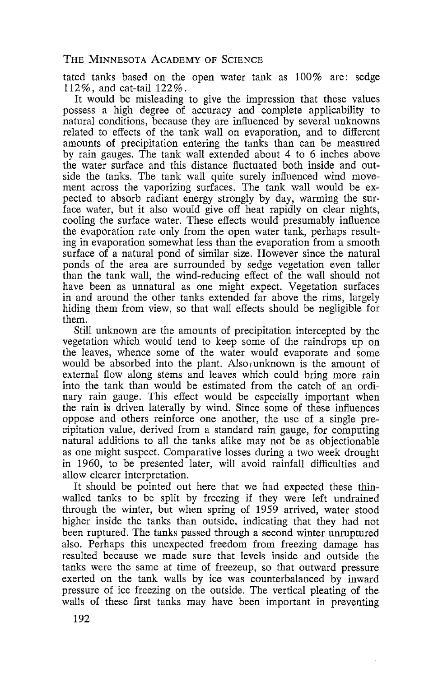tated tanks based on the open water tank as 100% are: sedge 112%, and cat-tail 122%.

It would be misleading to give the impression that these values possess a high degree of accuracy and complete applicability to natural conditions, because they are influenced by several unknowns related to effects of the tank wall on evaporation, and to different amounts of precipitation entering the tanks than can be measured by rain gauges. The tank wall extended about 4 to 6 inches above the water surface and this distance fluctuated both inside and outside the tanks. The tank wall quite surely influenced wind movement across the vaporizing surfaces. The tank wall would be expected to absorb radiant energy strongly by day, warming the surface water, but it also would give off heat rapidly on clear nights, cooling the surface water. These effects would presumably influence the evaporation rate only from the open water tank, perhaps resulting in evaporation somewhat less than the evaporation from a smooth surface of a natural pond of similar size. However since the natural ponds of the area are surrounded by sedge vegetation even taller than the tank wall, the wind-reducing effect of the wall should not have been as unnatural as one might expect. Vegetation surfaces in and around the other tanks extended far above the rims, largely hiding them from view, so that wall effects should be negligible for them.

Still unknown are the amounts of precipitation intercepted by the vegetation which would tend to keep some of the raindrops up on the leaves, whence some of the water would evaporate and some would be absorbed into the plant. Also,unknown is the amount of external flow along stems and leaves which could bring more rain into the tank than would be estimated from the catch of an ordinary rain gauge. This effect would be especially important when the rain is driven laterally by wind. Since some of these influences oppose and others reinforce one another, the use of a single precipitation value, derived from a standard rain gauge, for computing natural additions to all the tanks alike may not be as objectionable as one might suspect. Comparative losses during a two week drought in 1960, to be presented later, will avoid rainfall difficulties and allow clearer interpretation.

It should be pointed out here that we had expected these thinwalled tanks to be split by freezing if they were left undrained through the winter, but when spring of 1959 arrived, water stood higher inside the tanks than outside, indicating that they had not been ruptured. The tanks passed through a second winter unruptured also. Perhaps this unexpected freedom from freezing damage has resulted because we made sure that levels inside and outside the tanks were the same at time of freezeup, so that outward pressure exerted on the tank walls by ice was counterbalanced by inward pressure of ice freezing on the outside. The vertical pleating of the walls of these first tanks may have been important in preventing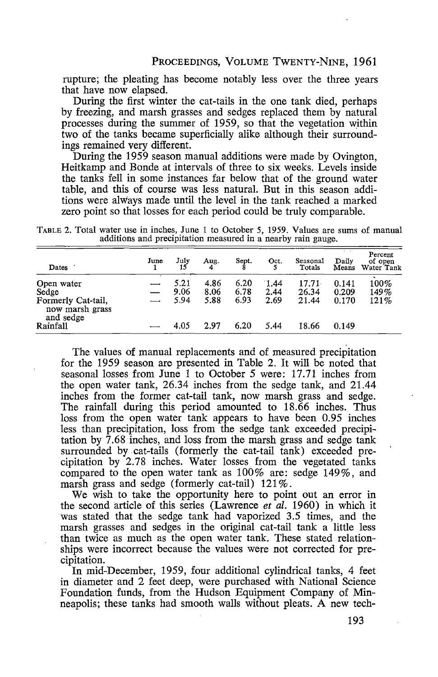rupture; the pleating has become notably less over the three years that have now elapsed.

During the first winter the cat-tails in the one tank died, perhaps by freezing, and marsh grasses and sedges replaced them by natural processes during the summer of 1959, so that the vegetation w\_ithin two of the tanks became superficially alike although their surroundings remained very different.

During the 1959 season manual additions were made by Ovington, Heitkamp and Bonde at intervals of three to six weeks. Levels inside the tanks fell in some instances far below that of the ground water table, and this of course was less natural. But in this season additions were always made until the level in the tank reached a marked zero point so that losses for each period could be truly comparable.

TABLE 2. Total water use in inches, June 1 to October *5,* 1959. Values are sums of manual additions and precipitation measured in a nearby rain gauge.

| Dates                                                                     | June | July                 | Aug.                 | Sept.                | Oct.                 | Seasonal<br>Totals      | Daily<br>Means          | Percent<br>of open<br>Water Tank |
|---------------------------------------------------------------------------|------|----------------------|----------------------|----------------------|----------------------|-------------------------|-------------------------|----------------------------------|
| Open water<br>Sedge<br>Formerly Cat-tail,<br>now marsh grass<br>and sedge |      | 5.21<br>9.06<br>5.94 | 4.86<br>8.06<br>5.88 | 6.20<br>6.78<br>6.93 | 1.44<br>2.44<br>2.69 | 17.71<br>26.34<br>21.44 | 0.141<br>0.209<br>0.170 | 100%<br>149%<br>121%             |
| Rainfall                                                                  |      | 4.05                 | 2.97                 | 6.20                 | 5.44                 | 18.66                   | 0.149                   |                                  |

The values of manual replacements and of measured precipitation for the 1959 season are presented in Table 2. It will be noted that seasonal losses from June 1 to October 5 were: 17.71 inches from the open water tank, 26.34 inches from the sedge tank, and 21.44 inches from the former cat-tail tank, now marsh grass and sedge. The rainfall during this period amounted to 18.66 inches. Thus loss from the open water tank appears to have been 0.95 inches less than precipitation, loss from the sedge tank exceeded precipitation by 7 .68 inches, and loss from the marsh grass and sedge tank surrounded by cat-tails (formerly the cat-tail tank) exceeded precipitation by 2.78 inches. Water losses from the vegetated tanks compared to the open water tank as 100% are: sedge 149%, and marsh grass and sedge (formerly cat-tail)  $121\%$ .

We wish to take the opportunity here to point out an error in the second article of this series (Lawrence *et al.* 1960) in which it Was stated that the sedge tank had vaporized 3.5 times, and the marsh grasses and sedges in the original cat-tail tank a little less than twice as much as the open water tank. These stated relationships were incorrect because the values were not corrected for precipitation.

In mid-December, 1959, four additional cylindrical tanks, 4 feet in diameter and 2 feet deep, were purchased with National Science Foundation funds, from the Hudson Equipment Company of Minneapolis; these tanks had smooth walls without pleats. A new tech-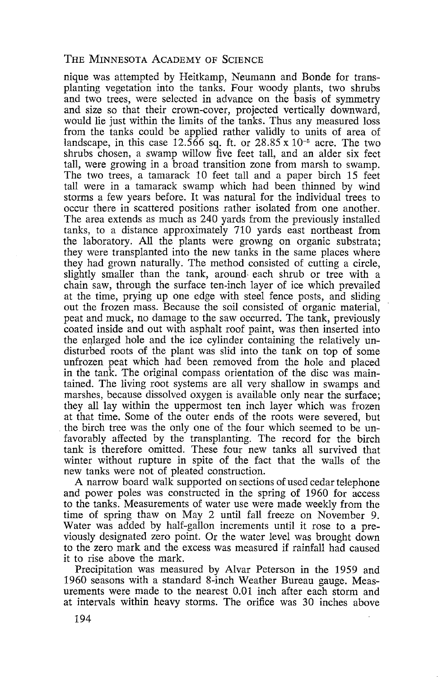nique was attempted by Heitkamp, Neumann and Bonde for transplanting vegetation into the tanks. Four woody plants, two shrubs and two trees, were selected in advance on the basis of symmetry and size so that their crown-cover, projected vertically downward, would lie just within the limits of the tanks. Thus any measured loss from the tanks could be applied rather validly to units of area of landscape, in this case  $12.566$  sq. ft. or  $28.85 \times 10^{-5}$  acre. The two shrubs chosen, a swamp willow five feet tall, and an alder six feet tall, were growing in a broad transition zone from marsh to swamp. The two trees, a tamarack 10 feet tall and a paper birch 15 feet tall were in a tamarack swamp which had been thinned by wind storms a few years before. It was natural for the individual trees to occur there in scattered positions rather isolated from one another. The area extends as much as 240 yards from the previously installed tanks, to a distance approximately 710 yards east northeast from the laboratory. All the plants were growng on organic substrata; they were transplanted into the new tanks in the same places where they had grown naturally. The method consisted of cutting a circle, slightly smaller than the tank, around each shrub or tree with a chain saw, through the surface ten-inch layer of ice which prevailed at the time, prying up one edge with steel fence posts, and sliding out the frozen mass. Because the soil consisted of organic material, peat and muck, no damage to the saw occurred. The tank, previously coated inside and out with asphalt roof paint, was then inserted into the enlarged hole and the ice cylinder containing the relatively undisturbed roots of the plant was slid into the tank on top of some unfrozen peat which had been removed from the hole and placed in the tank. The original compass orientation of the disc was maintained. The living root systems are all very shallow in swamps and marshes, because dissolved oxygen is available only near the surface; they all lay within the uppermost ten inch layer which was frozen at that time. Some of the outer ends of the roots were severed, but . the birch tree was the only one of the four which seemed to be unfavorably affected by the transplanting. The record for the birch tank is therefore omitted. These four new tanks all survived that winter without rupture in spite of the fact that the walls of the new tanks were not of pleated construction.

A narrow board walk supported on sections of used cedar telephone and power poles was constructed in the spring of 1960 for access to the tanks. Measurements of water use were made weekly from the time of spring thaw on May 2 until fall freeze on November 9. Water was added by half-gallon increments until it rose to a previously designated zero point. Or the water level was brought down to the zero mark and the excess was measured if rainfall had caused it to rise above the mark.

Precipitation was measured by Alvar Peterson in the 1959 and 1960 seasons with a standard 8-inch Weather Bureau gauge. Measurements were made to the nearest 0.01 inch after each storm and at intervals within heavy storms. The orifice was 30 inches above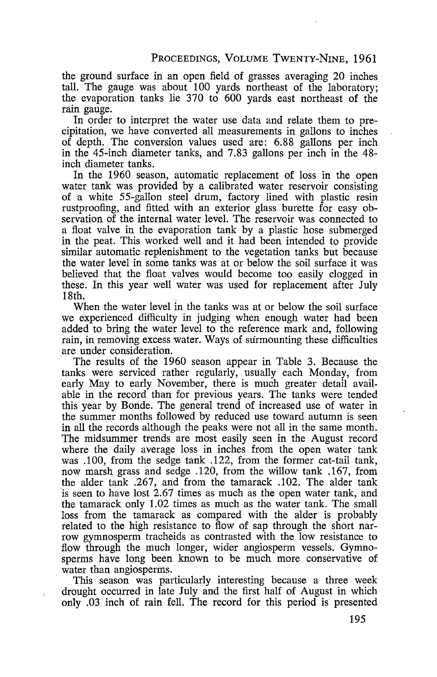the ground surface in an open field of grasses averaging 20 inches tall. The gauge was about 100 yards northeast of the laboratory; the evaporation tanks lie 370 to 600 yards east northeast of the rain gauge.

In order to interpret the water use data and relate them to precipitation, we have converted all measurements in gallons to inches of depth. The conversion values used are: 6.88 gallons per inch in the 45-inch diameter tanks, and 7.83 gallons per inch in the 48 inch diameter tanks.

In the 1960 season, automatic replacement of loss in the open water tank was provided by a calibrated water reservoir consisting of a white 55-gallon steel drum, factory lined with plastic resin rustproofing, and fitted with an exterior glass burette for easy observation of the internal water level. The reservoir was connected to a float valve in the evaporation tank by a plastic hose submerged in the peat. This worked well and it had been intended to provide similar automatic replenishment to the vegetation tanks but because the water level in some tanks was at or below the soil surface it was believed that the float valves would become too easily clogged in these. In this year well water was used for replacement after July 18th.

When the water level in the tanks was at or below the soil surface we experienced difficulty in judging when enough water had been added to bring the water level to the reference mark and, following rain, in removing excess water. Ways of surmounting these difficulties are under consideration.

The results of the 1960 season appear in Table 3. Because the tanks were serviced rather regularly, usually each Monday, from early May to early November, there is much greater detail available in the record than for previous years. The tanks were tended this year by Bonde. The general trend of increased use of water in the summer months followed by reduced use toward autumn is seen in all the records although the peaks were not all in the same month. The midsummer trends are most easily seen in the August record where the daily average loss in inches from the open water tank was .100, from the sedge tank .122, from the former cat-tail tank, now marsh grass and sedge .120, from the willow tank .167, from the alder tank .267, and from the tamarack .102. The alder tank is seen to have lost 2.67 times as much as the open water tank, and the tamarack only 1.02 times as much as the water tank. The small loss from the tamarack as compared with the alder is probably related to the high resistance to flow of sap through the short narrow gymnosperm tracheids as contrasted with the low resistance to flow through the much longer, wider angiosperm vessels. Gymnosperms have long been known to be much more conservative of water than angiosperms.

This season was particularly interesting because a three week drought occurred in late July and the first half of August in which only .03 inch of rain fell. The record for this period is presented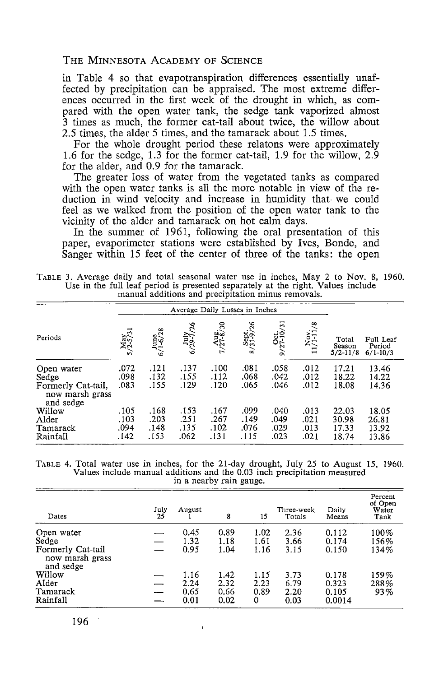in Table 4 so that evapotranspiration differences essentially unaffected by precipitation can be appraised. The most extreme differences occurred in the first week of the drought in which, as compared with the open water tank, the sedge tank vaporized almost 3 times as much, the former cat-tail about twice, the willow about 2.5 times, the alder 5 times, and the tamarack about 1.5 times.

For the whole drought period these relatons were approximately 1.6 for the sedge, 1.3 for the former cat-tail, 1.9 for the willow, 2.9 for the alder, and 0.9 for the tamarack.

The greater loss of water from the vegetated tanks as compared with the open water tanks is all the more notable in view of the reduction in wind velocity and increase in humidity that we could feel as we walked from the position of the open water tank to the vicinity of the alder and tamarack on hot calm days.

In the summer of 1961, following the oral presentation of this paper, evaporimeter stations were established by Ives, Bonde, and Sanger within 15 feet of the center of three of the tanks: the open

TABLE 3. Average daily and total seasonal water use in inches, May 2 to Nov. 8, 1960. Use in the full leaf period is presented separately at the right. Values include manual additions and precipitation minus removals.

|                                                              |                                  | Average Daily Losses in Inches |                              |                                  |                               |                               |                              |                                  |                                     |
|--------------------------------------------------------------|----------------------------------|--------------------------------|------------------------------|----------------------------------|-------------------------------|-------------------------------|------------------------------|----------------------------------|-------------------------------------|
| Periods                                                      | May<br>/2-5/31<br>$\overline{a}$ | $\frac{J$ une<br>6/1-6/28      | July<br>6/29-7/26            | Aug.<br>/27-8/30<br>$\mathbf{r}$ | Sept.<br>/31-9/26<br>$\infty$ | $\frac{Oct.}{/27-10/31}$<br>െ | $\frac{Nov.}{11/1-11/8}$     | Total<br>Season<br>$5/2 - 11/8$  | Full Leaf<br>Period<br>$6/1 - 10/3$ |
| Open water<br>Sedge<br>Formerly Cat-tail,<br>now marsh grass | .072<br>.098<br>.083             | .121<br>.132<br>.155           | .137<br>.155<br>.129         | .100<br>.112<br>.120             | .081<br>.068<br>.065          | .058<br>.042<br>.046          | .012<br>.012<br>.012         | 17.21<br>18.22<br>18.08          | 13.46<br>14.22<br>14.36             |
| and sedge<br>Willow<br>Alder<br>Tamarack<br>Rainfall         | .105<br>.103<br>.094<br>. 142    | .168<br>.203<br>.148<br>.153   | .153<br>.251<br>.135<br>.062 | .167<br>.267<br>.102<br>.131     | .099<br>.149<br>.076<br>.115  | .040<br>.049<br>.029<br>.023  | .013<br>.021<br>.013<br>.021 | 22.03<br>30.98<br>17.33<br>18.74 | 18.05<br>26.81<br>13.92<br>13.86    |

| TABLE 4. Total water use in inches, for the 21-day drought, July 25 to August 15, 1960. |  |  |  |  |  |  |  |                                                                          |  |  |  |  |  |
|-----------------------------------------------------------------------------------------|--|--|--|--|--|--|--|--------------------------------------------------------------------------|--|--|--|--|--|
|                                                                                         |  |  |  |  |  |  |  | Values include manual additions and the 0.03 inch precipitation measured |  |  |  |  |  |
| in a nearby rain gauge.                                                                 |  |  |  |  |  |  |  |                                                                          |  |  |  |  |  |

| Dates                                             | July<br>25 | August | 8    | 15   | Three-week<br>Totals | Daily<br>Means | Percent<br>of Open<br>Water<br>Tank |
|---------------------------------------------------|------------|--------|------|------|----------------------|----------------|-------------------------------------|
| Open water                                        |            | 0.45   | 0.89 | 1.02 | 2.36                 | 0.112          | 100%                                |
| Sedge                                             |            | 1.32   | 1.18 | 1.61 | 3.66                 | 0.174          | 156%                                |
| Formerly Cat-tail<br>now marsh grass<br>and sedge |            | 0.95   | 1.04 | 1.16 | 3.15                 | 0.150          | 134%                                |
| Willow                                            |            | 1.16   | 1.42 | 1.15 | 3.73                 | 0.178          | 159%                                |
| Alder                                             |            | 2.24   | 2.32 | 2.23 | 6.79                 | 0.323          | 288%                                |
| Tamarack                                          |            | 0.65   | 0.66 | 0.89 | 2.20                 | 0.105          | 93%                                 |
| Rainfall                                          |            | 0.01   | 0.02 | 0    | 0.03                 | 0.0014         |                                     |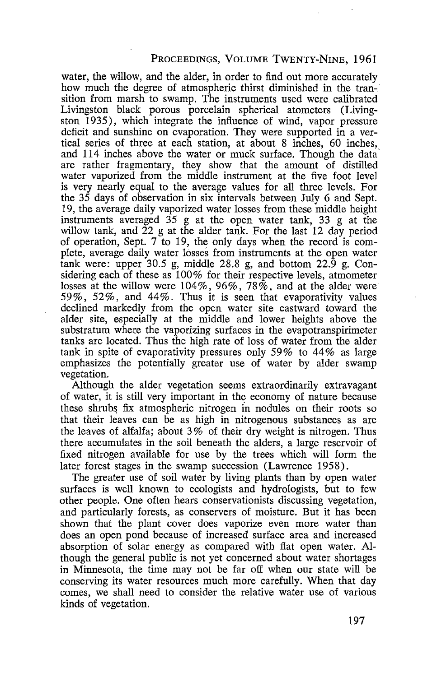#### PROCEEDINGS, VOLUME TwENTY-NINE, 1961

water, the willow, and the alder, in order to find out more accurately how much the degree of atmospheric thirst diminished in the transition from marsh to swamp. The instruments used were calibrated Livingston black porous porcelain spherical atometers (Livingston 1935), which integrate the influence of wind, vapor pressure deficit and sunshine on evaporation. They were supported in a vertical series of three at each station, at about 8 inches, 60 inches, and 114 inches above the water or muck surface. Though the data' are rather fragmentary, they show that the amount of distilled water vaporized from the middle instrument at the five foot level is very nearly equal to the average values for all three levels. For the 35 days of observation in six intervals between July 6 and Sept. 19, the average daily vaporized water losses from these middle height instruments averaged 35 g at the open water tank, 33 g at the willow tank, and  $\tilde{22}$  g at the alder tank. For the last 12 day period of operation, Sept. 7 to 19, the only days when the record is complete, average daily water losses from instruments at the open water tank were: upper 30.5 g, middle 28.8 g, and bottom 22.9 g. Considering each of these as 100% for their respective levels, atmometer losses at the willow were  $104\%$ ,  $96\%$ ,  $78\%$ , and at the alder were 59%, 52%, and 44%. Thus it is seen that evaporativity values declined markedly from the open water site eastward toward the alder site, especially at the middle and lower heights above the substratum where the vaporizing surfaces in the evapotranspirimeter tanks are located. Thus the high rate of loss of water from the alder tank in spite of evaporativity pressures only 59% to 44% as large emphasizes the potentially greater use of water by alder swamp vegetation.

Although the alder vegetation seems extraordinarily extravagant of water, it is still very important in the economy of nature because these shrubs fix atmospheric nitrogen in nodules on their roots so that their leaves can be as high in nitrogenous substances as are the leaves of alfalfa; about 3% of their dry weight is nitrogen. Thus there accumulates in the soil beneath the alders, a large reservoir of fixed nitrogen available for use by the trees which will form the later forest stages in the swamp succession (Lawrence 1958).

The greater use of soil water by living plants than by open water surfaces is well known to ecologists and hydrologists, but to few other people. One often hears conservationists discussing vegetation, and particularly forests, as conservers of moisture. But it has been shown that the plant cover does vaporize even more water than does an open pond because of increased surface area and increased absorption of solar energy as compared with flat open water. Although the general public is not yet concerned about water shortages in Minnesota, the time may not be far off when our state will be conserving its water resources much more carefully. When that day comes, we shall need to consider the relative water use of various kinds of vegetation.